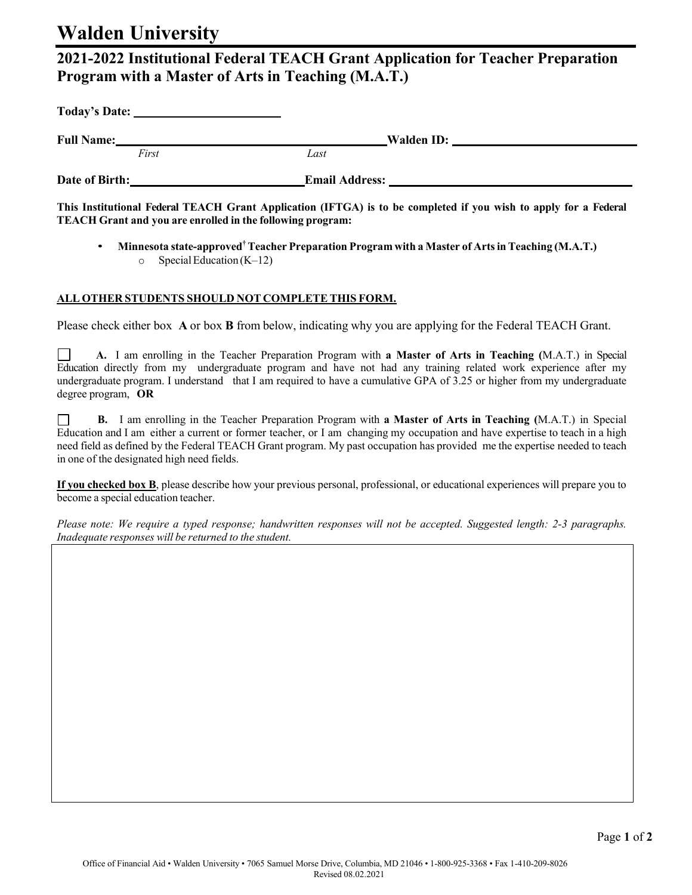## **Walden University**

## **2021-2022 Institutional Federal TEACH Grant Application for Teacher Preparation Program with a Master of Arts in Teaching (M.A.T.)**

| Today's Date:     |                                                                                                                                                                                                                                |  |
|-------------------|--------------------------------------------------------------------------------------------------------------------------------------------------------------------------------------------------------------------------------|--|
| <b>Full Name:</b> | Walden ID: New York District Property of the United States of the United States of the United States of the United States of the United States of the United States of the United States of the United States of the United St |  |
| First             | Last                                                                                                                                                                                                                           |  |
| Date of Birth:    | <b>Email Address:</b>                                                                                                                                                                                                          |  |

This Institutional Federal TEACH Grant Application (IFTGA) is to be completed if you wish to apply for a Federal **TEACH Grant and you are enrolled in the following program:**

• **Minnesota state-approved†Teacher Preparation Program with a Master of Artsin Teaching (M.A.T.)**  $\circ$  Special Education (K–12)

## **ALL OTHER STUDENTS SHOULD NOT COMPLETE THIS FORM.**

Please check either box **A** or box **B** from below, indicating why you are applying for the Federal TEACH Grant.

**A.** I am enrolling in the Teacher Preparation Program with **a Master of Arts in Teaching (**M.A.T.) in Special Education directly from my undergraduate program and have not had any training related work experience after my undergraduate program. I understand that I am required to have a cumulative GPA of 3.25 or higher from my undergraduate degree program, **OR**

**B.** I am enrolling in the Teacher Preparation Program with **a Master of Arts in Teaching (**M.A.T.) in Special  $\perp$ Education and I am either a current or former teacher, or I am changing my occupation and have expertise to teach in a high need field as defined by the Federal TEACH Grant program. My past occupation has provided me the expertise needed to teach in one of the designated high need fields.

**If you checked box B**, please describe how your previous personal, professional, or educational experiences will prepare you to become a special education teacher.

Please note: We require a typed response; handwritten responses will not be accepted. Suggested length: 2-3 paragraphs. *Inadequate responses will be returned to the student.*